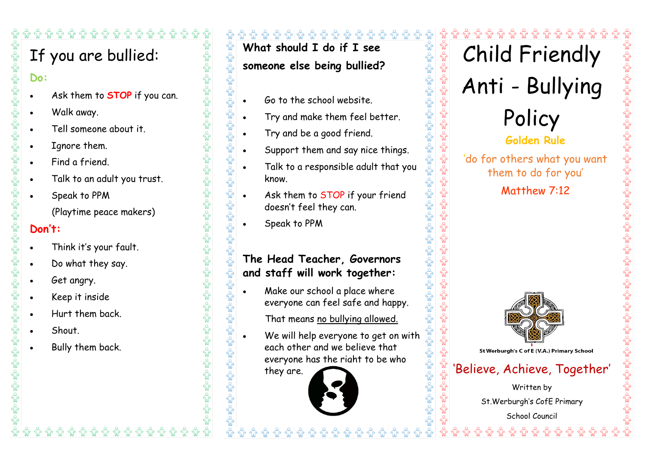# If you are bullied:

**Do:**

- Ask them to **STOP** if you can.
- Walk away.
- Tell someone about it.
- Ignore them.
- Find a friend.
- Talk to an adult you trust.
- Speak to PPM

(Playtime peace makers)

## **Don't:**

- Think it's your fault.
- Do what they say.
- Get angry.
- Keep it inside
- Hurt them back.
- **Shout**
- Bully them back.

## ﴿ وَلَا ﴿ وَلَا يَهُمْ اللَّهُ وَإِنَّهُمْ وَلَا يَهْلُوا وَإِلَّا وَإِنَّهُمْ وَإِلَّا وَإِلَّا وَ **What should I do if I see**

## **someone else being bullied?**

 $\frac{1}{\sqrt{2}}$ 

 $\sqrt{\frac{2}{M}}$ 

- Go to the school website.
- Try and make them feel better.
- Try and be a good friend.
- Support them and say nice things.
- Talk to a responsible adult that you know.
- Ask them to STOP if your friend doesn't feel they can.
- Speak to PPM

## **The Head Teacher, Governors and staff will work together:**

 Make our school a place where everyone can feel safe and happy.

That means no bullying allowed.

 We will help everyone to get on with each other and we believe that everyone has the right to be who

they are.



Child Friendly Anti - Bullying Policy

چي ڪي <del>م</del>ح

ಪೋತ್ತಿಂ;



'do for others what you want them to do for you'

Matthew 7:12



'<br>E St Werburgh's C of E (V.A.) Primary School

## 'Believe, Achieve, Together'

Written by St.Werburgh's CofE Primary School Council